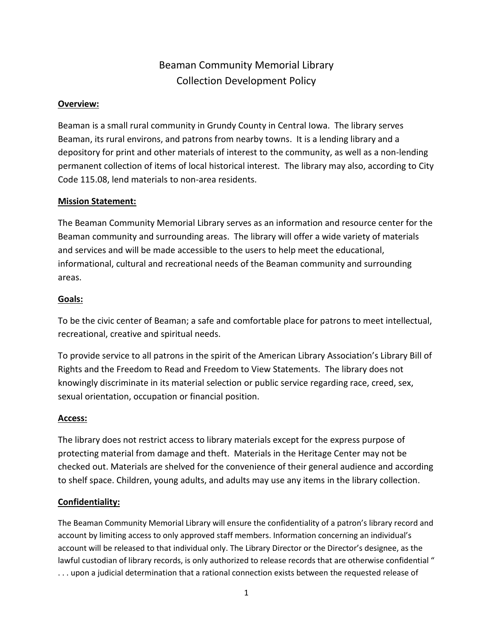# Beaman Community Memorial Library Collection Development Policy

#### **Overview:**

Beaman is a small rural community in Grundy County in Central Iowa. The library serves Beaman, its rural environs, and patrons from nearby towns. It is a lending library and a depository for print and other materials of interest to the community, as well as a non-lending permanent collection of items of local historical interest. The library may also, according to City Code 115.08, lend materials to non-area residents.

#### **Mission Statement:**

The Beaman Community Memorial Library serves as an information and resource center for the Beaman community and surrounding areas. The library will offer a wide variety of materials and services and will be made accessible to the users to help meet the educational, informational, cultural and recreational needs of the Beaman community and surrounding areas.

#### **Goals:**

To be the civic center of Beaman; a safe and comfortable place for patrons to meet intellectual, recreational, creative and spiritual needs.

To provide service to all patrons in the spirit of the American Library Association's Library Bill of Rights and the Freedom to Read and Freedom to View Statements. The library does not knowingly discriminate in its material selection or public service regarding race, creed, sex, sexual orientation, occupation or financial position.

#### **Access:**

The library does not restrict access to library materials except for the express purpose of protecting material from damage and theft. Materials in the Heritage Center may not be checked out. Materials are shelved for the convenience of their general audience and according to shelf space. Children, young adults, and adults may use any items in the library collection.

## **Confidentiality:**

The Beaman Community Memorial Library will ensure the confidentiality of a patron's library record and account by limiting access to only approved staff members. Information concerning an individual's account will be released to that individual only. The Library Director or the Director's designee, as the lawful custodian of library records, is only authorized to release records that are otherwise confidential " . . . upon a judicial determination that a rational connection exists between the requested release of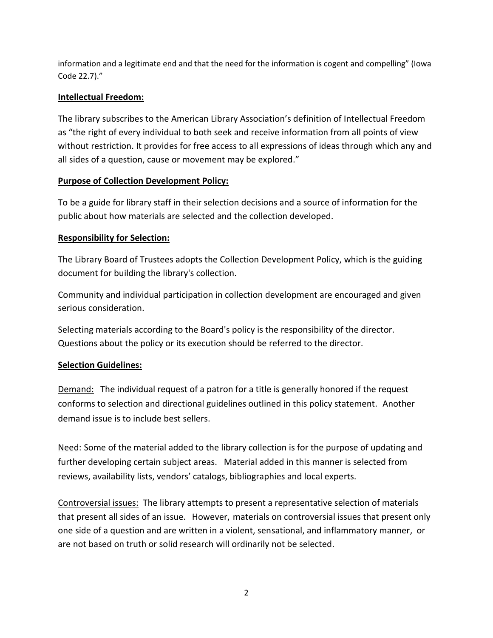information and a legitimate end and that the need for the information is cogent and compelling" (Iowa Code 22.7)."

## **Intellectual Freedom:**

The library subscribes to the American Library Association's definition of Intellectual Freedom as "the right of every individual to both seek and receive information from all points of view without restriction. It provides for free access to all expressions of ideas through which any and all sides of a question, cause or movement may be explored."

## **Purpose of Collection Development Policy:**

To be a guide for library staff in their selection decisions and a source of information for the public about how materials are selected and the collection developed.

## **Responsibility for Selection:**

The Library Board of Trustees adopts the Collection Development Policy, which is the guiding document for building the library's collection.

Community and individual participation in collection development are encouraged and given serious consideration.

Selecting materials according to the Board's policy is the responsibility of the director. Questions about the policy or its execution should be referred to the director.

## **Selection Guidelines:**

Demand: The individual request of a patron for a title is generally honored if the request conforms to selection and directional guidelines outlined in this policy statement. Another demand issue is to include best sellers.

Need: Some of the material added to the library collection is for the purpose of updating and further developing certain subject areas. Material added in this manner is selected from reviews, availability lists, vendors' catalogs, bibliographies and local experts.

Controversial issues: The library attempts to present a representative selection of materials that present all sides of an issue. However, materials on controversial issues that present only one side of a question and are written in a violent, sensational, and inflammatory manner, or are not based on truth or solid research will ordinarily not be selected.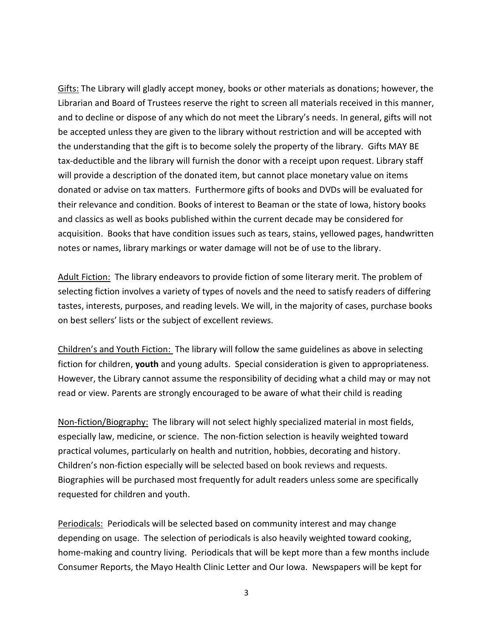Gifts: The Library will gladly accept money, books or other materials as donations; however, the Librarian and Board of Trustees reserve the right to screen all materials received in this manner, and to decline or dispose of any which do not meet the Library's needs. In general, gifts will not be accepted unless they are given to the library without restriction and will be accepted with the understanding that the gift is to become solely the property of the library. Gifts MAY BE tax-deductible and the library will furnish the donor with a receipt upon request. Library staff will provide a description of the donated item, but cannot place monetary value on items donated or advise on tax matters. Furthermore gifts of books and DVDs will be evaluated for their relevance and condition. Books of interest to Beaman or the state of Iowa, history books and classics as well as books published within the current decade may be considered for acquisition. Books that have condition issues such as tears, stains, yellowed pages, handwritten notes or names, library markings or water damage will not be of use to the library.

Adult Fiction: The library endeavors to provide fiction of some literary merit. The problem of selecting fiction involves a variety of types of novels and the need to satisfy readers of differing tastes, interests, purposes, and reading levels. We will, in the majority of cases, purchase books on best sellers' lists or the subject of excellent reviews.

Children's and Youth Fiction: The library will follow the same guidelines as above in selecting fiction for children, **youth** and young adults. Special consideration is given to appropriateness. However, the Library cannot assume the responsibility of deciding what a child may or may not read or view. Parents are strongly encouraged to be aware of what their child is reading

Non-fiction/Biography: The library will not select highly specialized material in most fields, especially law, medicine, or science. The non-fiction selection is heavily weighted toward practical volumes, particularly on health and nutrition, hobbies, decorating and history. Children's non-fiction especially will be selected based on book reviews and requests. Biographies will be purchased most frequently for adult readers unless some are specifically requested for children and youth.

Periodicals: Periodicals will be selected based on community interest and may change depending on usage. The selection of periodicals is also heavily weighted toward cooking, home-making and country living. Periodicals that will be kept more than a few months include Consumer Reports, the Mayo Health Clinic Letter and Our Iowa. Newspapers will be kept for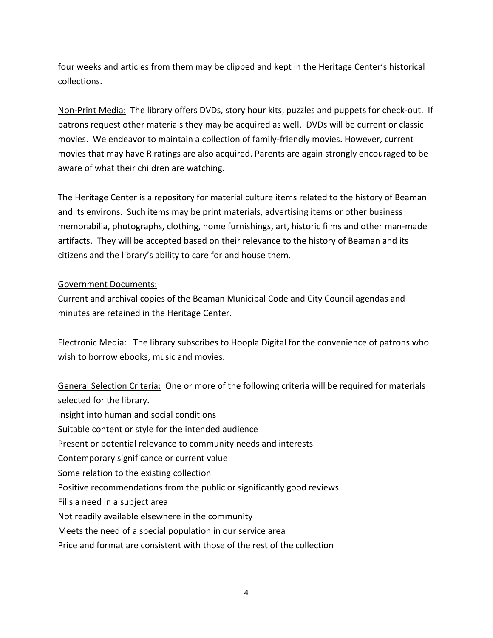four weeks and articles from them may be clipped and kept in the Heritage Center's historical collections.

Non-Print Media: The library offers DVDs, story hour kits, puzzles and puppets for check-out. If patrons request other materials they may be acquired as well. DVDs will be current or classic movies. We endeavor to maintain a collection of family-friendly movies. However, current movies that may have R ratings are also acquired. Parents are again strongly encouraged to be aware of what their children are watching.

The Heritage Center is a repository for material culture items related to the history of Beaman and its environs. Such items may be print materials, advertising items or other business memorabilia, photographs, clothing, home furnishings, art, historic films and other man-made artifacts. They will be accepted based on their relevance to the history of Beaman and its citizens and the library's ability to care for and house them.

#### Government Documents:

Current and archival copies of the Beaman Municipal Code and City Council agendas and minutes are retained in the Heritage Center.

Electronic Media: The library subscribes to Hoopla Digital for the convenience of patrons who wish to borrow ebooks, music and movies.

General Selection Criteria: One or more of the following criteria will be required for materials selected for the library. Insight into human and social conditions Suitable content or style for the intended audience Present or potential relevance to community needs and interests Contemporary significance or current value Some relation to the existing collection Positive recommendations from the public or significantly good reviews Fills a need in a subject area Not readily available elsewhere in the community Meets the need of a special population in our service area Price and format are consistent with those of the rest of the collection